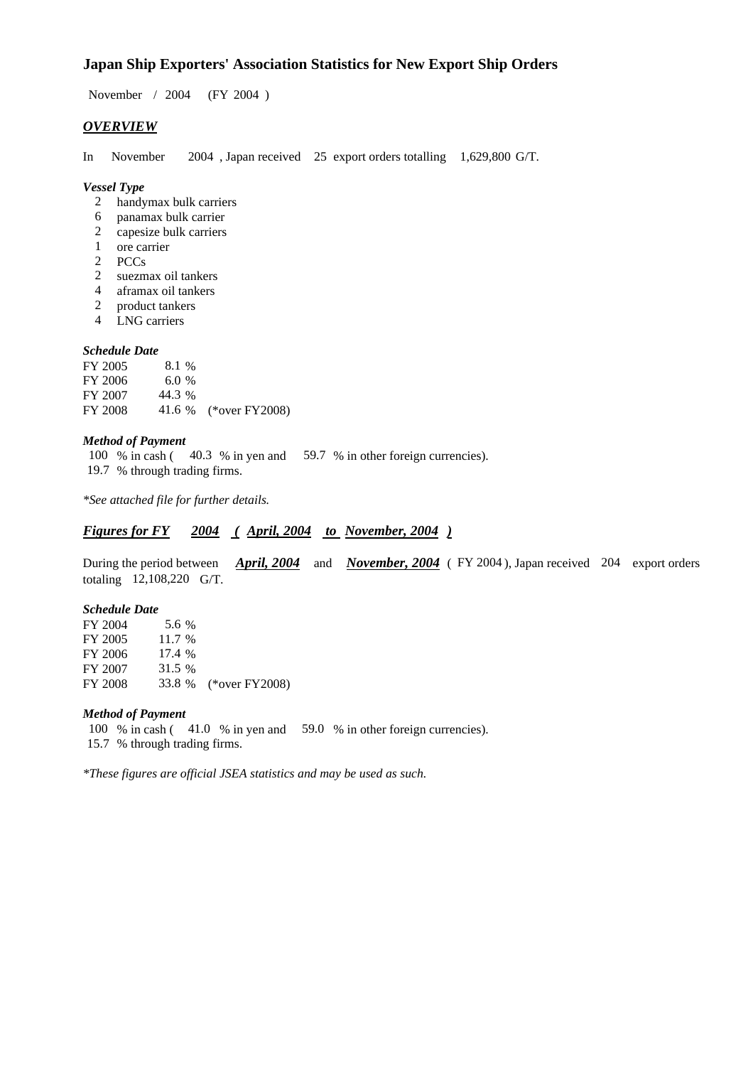# **Japan Ship Exporters' Association Statistics for New Export Ship Orders**

November / 2004 (FY 2004 )

### *OVERVIEW*

In November 2004 , Japan received 25 export orders totalling 1,629,800 G/T.

#### *Vessel Type*

- 2 handymax bulk carriers
- 6 panamax bulk carrier
- 2 capesize bulk carriers
- 1 ore carrier
- 2 PCCs
- 2 suezmax oil tankers
- 4 aframax oil tankers
- 2 product tankers
- 4 LNG carriers

#### *Schedule Date*

FY 2005 8.1 % FY 2006 6.0 %<br>FY 2007 44.3 % FY 2007 FY 2008 41.6 % (\*over FY2008)

#### *Method of Payment*

100 % in cash ( 40.3 % in yen and 59.7 % in other foreign currencies). 19.7 % through trading firms.

*\*See attached file for further details.*

# *Figures for FY 2004 ( April, 2004 to November, 2004 )*

During the period between *April, 2004* and *November, 2004* ( FY 2004 ), Japan received 204 export orders totaling 12,108,220 G/T.

#### *Schedule Date*

| FY 2004 | 5.6 %    |                       |
|---------|----------|-----------------------|
| FY 2005 | 11.7 %   |                       |
| FY 2006 | 17.4 $%$ |                       |
| FY 2007 | 31.5 %   |                       |
| FY 2008 |          | 33.8 % (*over FY2008) |

#### *Method of Payment*

100 % in cash ( 41.0 % in yen and 59.0 % in other foreign currencies). 15.7 % through trading firms.

*\*These figures are official JSEA statistics and may be used as such.*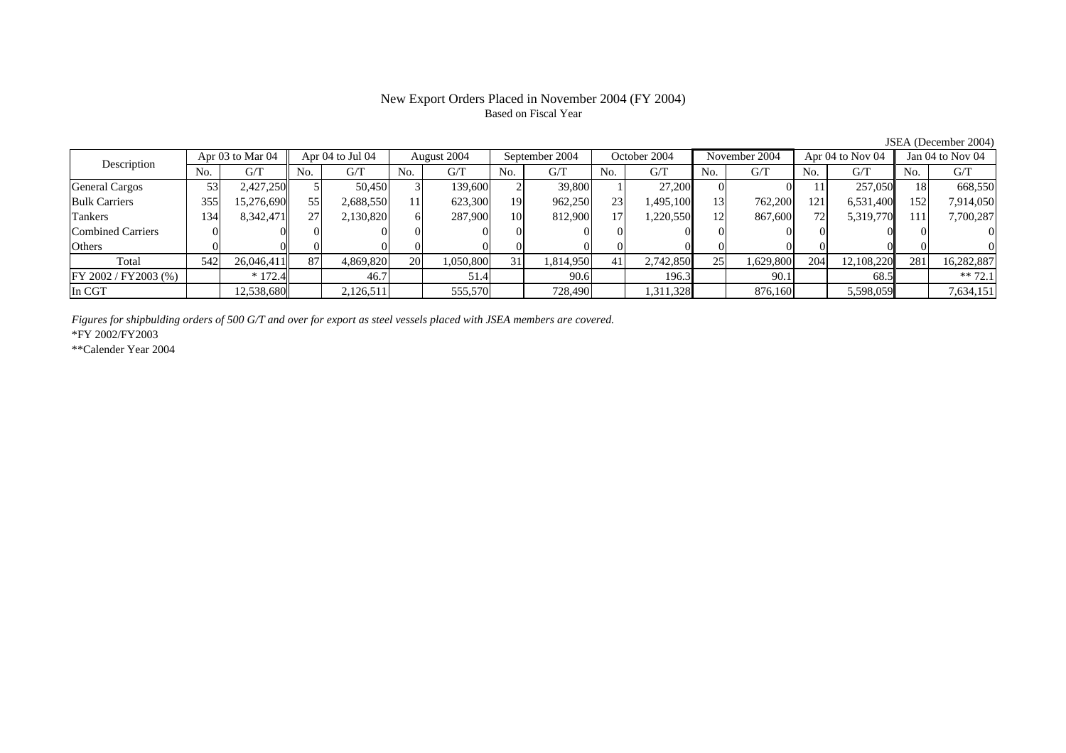## New Export Orders Placed in November 2004 (FY 2004) Based on Fiscal Year

JSEA (December 2004)

| Description           |     | Apr 03 to Mar 04 | Apr 04 to Jul 04 |           | August 2004    |           | September 2004 |           | October 2004 |           | November 2004 |           | Apr 04 to Nov 04 |            | Jan 04 to Nov 04 |            |
|-----------------------|-----|------------------|------------------|-----------|----------------|-----------|----------------|-----------|--------------|-----------|---------------|-----------|------------------|------------|------------------|------------|
|                       | No. | G/T              | No.              | G/T       | N <sub>0</sub> | G/T       | No.            | G/T       | No.          | G/T       | No.           | G/T       | No.              | G/T        | No.              | G/T        |
| <b>General Cargos</b> | 53  | 2.427.250        |                  | 50.450    |                | 139,600   |                | 39,800    |              | 27,200    |               |           |                  | 257,050    | 18               | 668,550    |
| <b>Bulk Carriers</b>  | 355 | 15,276,690       | 55               | 2,688,550 | 11             | 623,300   | 19             | 962,250   | 23           | 1,495,100 | 13            | 762,200   | 121              | 6,531,400  | 152              | 7,914,050  |
| Tankers               | 134 | 8,342,471        | 27               | 2,130,820 | 6              | 287,900   | 10             | 812,900   | 17           | 1,220,550 | 12            | 867,600   |                  | 5,319,770  | 111              | 7,700,287  |
| Combined Carriers     |     |                  |                  |           |                |           |                |           |              |           |               |           |                  |            |                  |            |
| <b>Others</b>         |     |                  |                  |           |                |           |                |           |              |           |               |           |                  |            |                  |            |
| Total                 | 542 | 26,046,411       | 87               | 4,869,820 | <b>20</b>      | 1,050,800 | 31             | 1,814,950 | 41           | 2,742,850 | 25            | 1,629,800 | 204              | 12,108,220 | 281              | 16,282,887 |
| FY 2002 / FY 2003 (%) |     | $*172.4$         |                  | 46.7      |                | 51.4      |                | 90.6      |              | 196.3     |               | 90.1      |                  | 68.5       |                  | $** 72.1$  |
| In CGT                |     | 12,538,680       |                  | 2,126,511 |                | 555,570   |                | 728,490   |              | 1,311,328 |               | 876,160   |                  | 5,598,059  |                  | 7,634,151  |

*Figures for shipbulding orders of 500 G/T and over for export as steel vessels placed with JSEA members are covered.*

\*FY 2002/FY2003

\*\*Calender Year 2004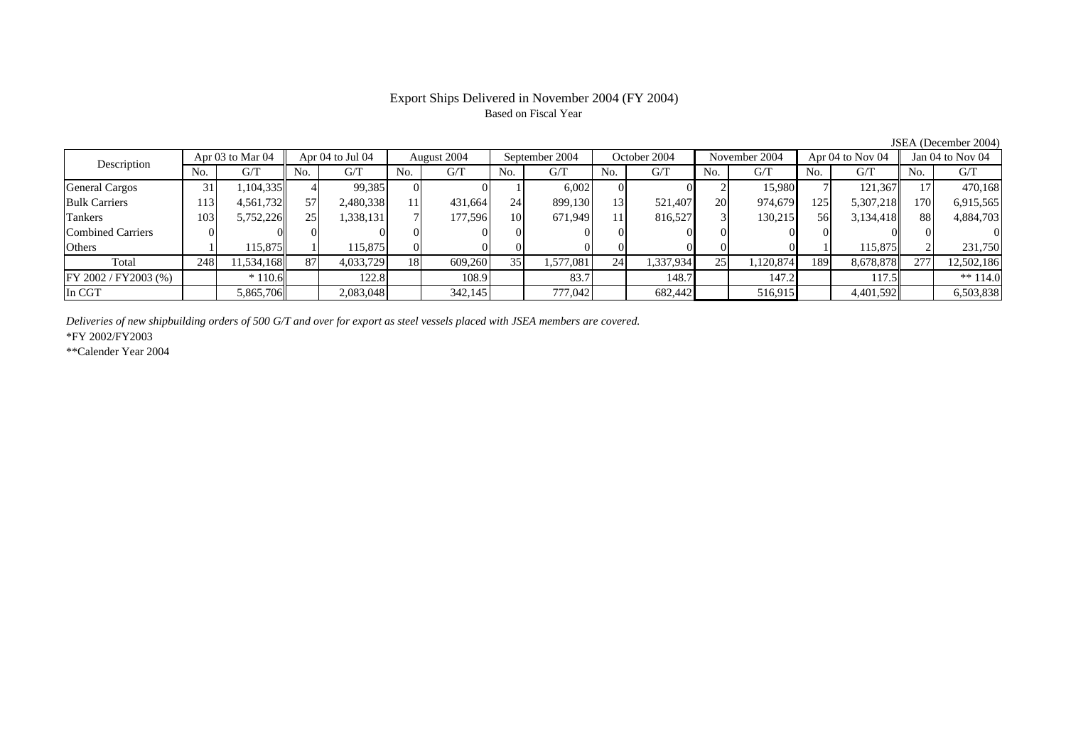## Export Ships Delivered in November 2004 (FY 2004) Based on Fiscal Year

JSEA (December 2004)

| Apr 03 to Mar 04<br>Description |     | Apr $04$ to Jul $04$ |                 |           | August 2004 |          | September 2004  |           | October 2004    |           | November 2004 |           | Apr 04 to Nov 04 |           | Jan $04$ to Nov $04$ |            |
|---------------------------------|-----|----------------------|-----------------|-----------|-------------|----------|-----------------|-----------|-----------------|-----------|---------------|-----------|------------------|-----------|----------------------|------------|
|                                 | No. | G/T                  | No.             | G/T       | No.         | G/T      | No.             | G/T       | No.             | G/T       | No.           | G/T       | No.              | G/T       | No.                  | G/T        |
| <b>General Cargos</b>           |     | .104.335             |                 | 99,385    |             |          |                 | 6.002     | $\Omega$        |           |               | 15.980    |                  | 121.367   |                      | 470.168    |
| <b>Bulk Carriers</b>            | 113 | 4,561,732            | 57              | 2,480,338 |             | 431.664  | 24 <sub>1</sub> | 899,130   | 13 <sup>1</sup> | 521,407   | 20            | 974,679   | 125              | 5,307,218 | 1701                 | 6,915,565  |
| Tankers                         | 103 | 5,752,226            | 25 <sub>1</sub> | 1,338,131 |             | 177,596  | 10 <sup>1</sup> | 671.949   | 11              | 816,527   |               | 130,215   | 56I              | 3,134,418 | 88 I                 | 4,884,703  |
| Combined Carriers               |     |                      |                 |           |             |          |                 |           | 01              |           |               |           |                  |           |                      |            |
| Others                          |     | 115.875II            |                 | 115,875   | $\Omega$    | $\Omega$ |                 |           |                 |           |               |           |                  | 115.875   |                      | 231,750    |
| Total                           | 248 | 11,534,168           | 87              | 4,033,729 | 18          | 609,260  | 35 <sub>1</sub> | 1,577,081 | 24              | 1,337,934 | 25            | 1,120,874 | 189              | 8,678,878 | 277                  | 12,502,186 |
| $FY 2002 / FY 2003$ (%)         |     | $*110.6$             |                 | 122.8     |             | 108.9    |                 | 83.7      |                 | 148.7     |               | 147.2     |                  | 117.5     |                      | ** $114.0$ |
| In CGT                          |     | 5,865,706            |                 | 2,083,048 |             | 342,145  |                 | 777,042   |                 | 682,442   |               | 516,915   |                  | 4,401,592 |                      | 6,503,838  |

*Deliveries of new shipbuilding orders of 500 G/T and over for export as steel vessels placed with JSEA members are covered.*

\*FY 2002/FY2003

\*\*Calender Year 2004